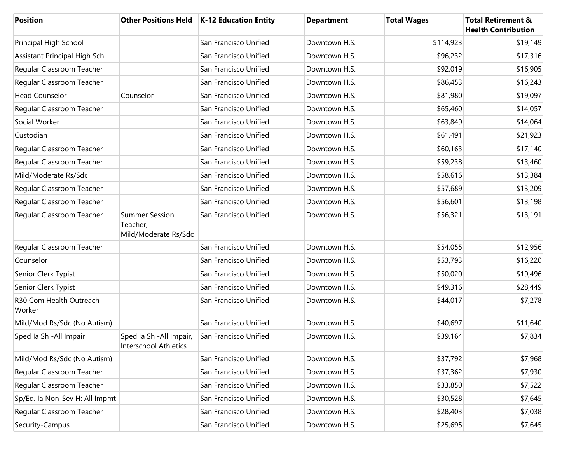| <b>Position</b>                   |                                                           | Other Positions Held   K-12 Education Entity | <b>Department</b> | <b>Total Wages</b> | <b>Total Retirement &amp;</b><br><b>Health Contribution</b> |
|-----------------------------------|-----------------------------------------------------------|----------------------------------------------|-------------------|--------------------|-------------------------------------------------------------|
| Principal High School             |                                                           | San Francisco Unified                        | Downtown H.S.     | \$114,923          | \$19,149                                                    |
| Assistant Principal High Sch.     |                                                           | San Francisco Unified                        | Downtown H.S.     | \$96,232           | \$17,316                                                    |
| Regular Classroom Teacher         |                                                           | San Francisco Unified                        | Downtown H.S.     | \$92,019           | \$16,905                                                    |
| Regular Classroom Teacher         |                                                           | San Francisco Unified                        | Downtown H.S.     | \$86,453           | \$16,243                                                    |
| <b>Head Counselor</b>             | Counselor                                                 | San Francisco Unified                        | Downtown H.S.     | \$81,980           | \$19,097                                                    |
| Regular Classroom Teacher         |                                                           | San Francisco Unified                        | Downtown H.S.     | \$65,460           | \$14,057                                                    |
| Social Worker                     |                                                           | San Francisco Unified                        | Downtown H.S.     | \$63,849           | \$14,064                                                    |
| Custodian                         |                                                           | San Francisco Unified                        | Downtown H.S.     | \$61,491           | \$21,923                                                    |
| Regular Classroom Teacher         |                                                           | San Francisco Unified                        | Downtown H.S.     | \$60,163           | \$17,140                                                    |
| Regular Classroom Teacher         |                                                           | San Francisco Unified                        | Downtown H.S.     | \$59,238           | \$13,460                                                    |
| Mild/Moderate Rs/Sdc              |                                                           | San Francisco Unified                        | Downtown H.S.     | \$58,616           | \$13,384                                                    |
| Regular Classroom Teacher         |                                                           | San Francisco Unified                        | Downtown H.S.     | \$57,689           | \$13,209                                                    |
| Regular Classroom Teacher         |                                                           | San Francisco Unified                        | Downtown H.S.     | \$56,601           | \$13,198                                                    |
| Regular Classroom Teacher         | <b>Summer Session</b><br>Teacher,<br>Mild/Moderate Rs/Sdc | San Francisco Unified                        | Downtown H.S.     | \$56,321           | \$13,191                                                    |
| Regular Classroom Teacher         |                                                           | San Francisco Unified                        | Downtown H.S.     | \$54,055           | \$12,956                                                    |
| Counselor                         |                                                           | San Francisco Unified                        | Downtown H.S.     | \$53,793           | \$16,220                                                    |
| Senior Clerk Typist               |                                                           | San Francisco Unified                        | Downtown H.S.     | \$50,020           | \$19,496                                                    |
| Senior Clerk Typist               |                                                           | San Francisco Unified                        | Downtown H.S.     | \$49,316           | \$28,449                                                    |
| R30 Com Health Outreach<br>Worker |                                                           | San Francisco Unified                        | Downtown H.S.     | \$44,017           | \$7,278                                                     |
| Mild/Mod Rs/Sdc (No Autism)       |                                                           | San Francisco Unified                        | Downtown H.S.     | \$40,697           | \$11,640                                                    |
| Sped Ia Sh - All Impair           | Sped Ia Sh - All Impair,<br>Interschool Athletics         | San Francisco Unified                        | Downtown H.S.     | \$39,164           | \$7,834                                                     |
| Mild/Mod Rs/Sdc (No Autism)       |                                                           | San Francisco Unified                        | Downtown H.S.     | \$37,792           | \$7,968                                                     |
| Regular Classroom Teacher         |                                                           | San Francisco Unified                        | Downtown H.S.     | \$37,362           | \$7,930                                                     |
| Regular Classroom Teacher         |                                                           | San Francisco Unified                        | Downtown H.S.     | \$33,850           | \$7,522                                                     |
| Sp/Ed. la Non-Sev H: All Impmt    |                                                           | San Francisco Unified                        | Downtown H.S.     | \$30,528           | \$7,645                                                     |
| Regular Classroom Teacher         |                                                           | San Francisco Unified                        | Downtown H.S.     | \$28,403           | \$7,038                                                     |
| Security-Campus                   |                                                           | San Francisco Unified                        | Downtown H.S.     | \$25,695           | \$7,645                                                     |